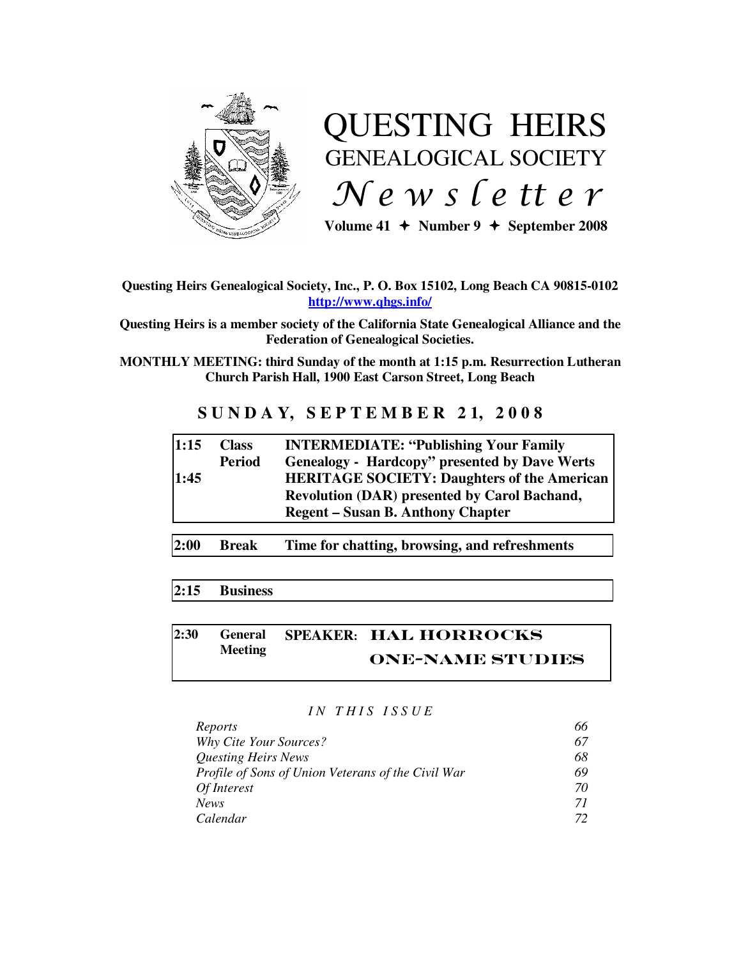

# QUESTING HEIRS GENEALOGICAL SOCIETY  $Ne$  w s letter

Volume  $41 +$  Number  $9 +$  September 2008

#### **Questing Heirs Genealogical Society, Inc., P. O. Box 15102, Long Beach CA 90815-0102 http://www.qhgs.info/**

**Questing Heirs is a member society of the California State Genealogical Alliance and the Federation of Genealogical Societies.** 

**MONTHLY MEETING: third Sunday of the month at 1:15 p.m. Resurrection Lutheran Church Parish Hall, 1900 East Carson Street, Long Beach** 

## **S U N D A Y, S E P T E M B E R 2 1, 2 0 0 8**

| 1:15 | <b>Class</b>  | <b>INTERMEDIATE: "Publishing Your Family</b>         |
|------|---------------|------------------------------------------------------|
|      | <b>Period</b> | <b>Genealogy - Hardcopy" presented by Dave Werts</b> |
| 1:45 |               | <b>HERITAGE SOCIETY: Daughters of the American</b>   |
|      |               | <b>Revolution (DAR) presented by Carol Bachand,</b>  |
|      |               | <b>Regent – Susan B. Anthony Chapter</b>             |
|      |               |                                                      |

**2:00 Break Time for chatting, browsing, and refreshments** 

## **2:15 Business**

#### **2:30 General Meeting SPEAKER:** Hal Horrocks One-name studies

#### *I N T H I S I S S U E*

| Reports                                                   | 66 |
|-----------------------------------------------------------|----|
| <b>Why Cite Your Sources?</b>                             | 67 |
| <b>Questing Heirs News</b>                                | 68 |
| <b>Profile of Sons of Union Veterans of the Civil War</b> | 69 |
| Of Interest                                               | 70 |
| <b>News</b>                                               | 71 |
| Calendar                                                  | 72 |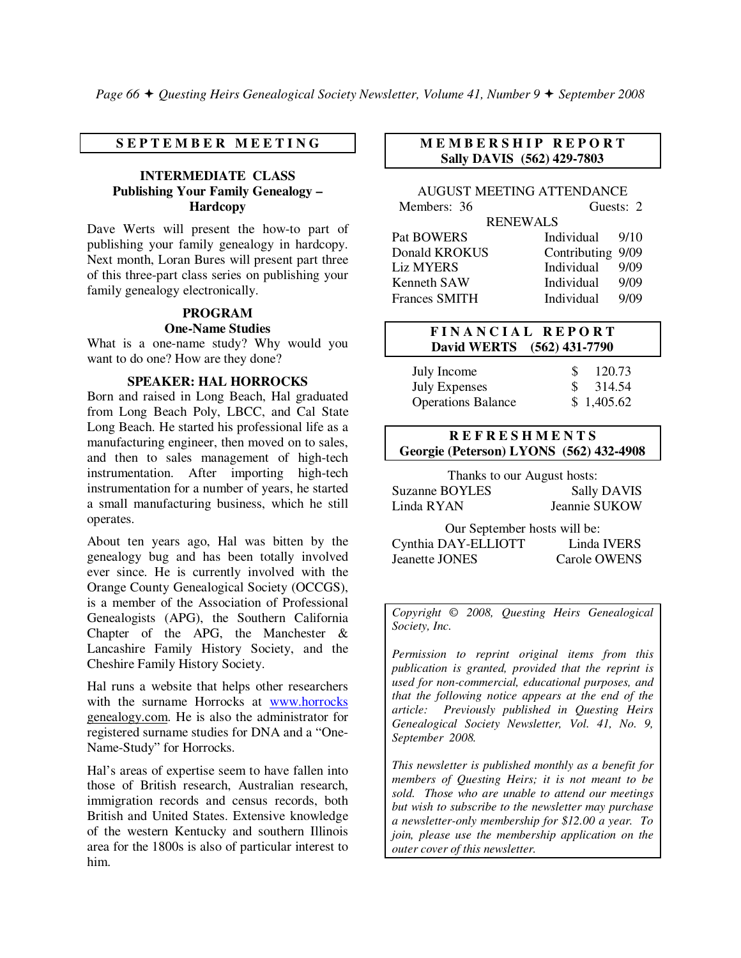#### **S E P T E M B E R M E E T I N G**

#### **INTERMEDIATE CLASS Publishing Your Family Genealogy – Hardcopy**

Dave Werts will present the how-to part of publishing your family genealogy in hardcopy. Next month, Loran Bures will present part three of this three-part class series on publishing your family genealogy electronically.

#### **PROGRAM**

#### **One-Name Studies**

What is a one-name study? Why would you want to do one? How are they done?

#### **SPEAKER: HAL HORROCKS**

Born and raised in Long Beach, Hal graduated from Long Beach Poly, LBCC, and Cal State Long Beach. He started his professional life as a manufacturing engineer, then moved on to sales, and then to sales management of high-tech instrumentation. After importing high-tech instrumentation for a number of years, he started a small manufacturing business, which he still operates.

About ten years ago, Hal was bitten by the genealogy bug and has been totally involved ever since. He is currently involved with the Orange County Genealogical Society (OCCGS), is a member of the Association of Professional Genealogists (APG), the Southern California Chapter of the APG, the Manchester & Lancashire Family History Society, and the Cheshire Family History Society.

Hal runs a website that helps other researchers with the surname Horrocks at www.horrocks genealogy.com. He is also the administrator for registered surname studies for DNA and a "One-Name-Study" for Horrocks.

Hal's areas of expertise seem to have fallen into those of British research, Australian research, immigration records and census records, both British and United States. Extensive knowledge of the western Kentucky and southern Illinois area for the 1800s is also of particular interest to him.

#### **M E M B E R S H I P R E P O R T Sally DAVIS (562) 429-7803**

#### AUGUST MEETING ATTENDANCE

| Members: 36          |                   | Guests: 2 |  |  |  |
|----------------------|-------------------|-----------|--|--|--|
| <b>RENEWALS</b>      |                   |           |  |  |  |
| Pat BOWERS           | Individual        | -9/10     |  |  |  |
| Donald KROKUS        | Contributing 9/09 |           |  |  |  |
| <b>Liz MYERS</b>     | Individual        | 9/09      |  |  |  |
| Kenneth SAW          | Individual        | 9/09      |  |  |  |
| <b>Frances SMITH</b> | Individual        | 9/09      |  |  |  |

#### **F I N A N C I A L R E P O R T David WERTS (562) 431-7790**

| July Income               | 120.73              |
|---------------------------|---------------------|
| <b>July Expenses</b>      | $\frac{\$}{314.54}$ |
| <b>Operations Balance</b> | \$1,405.62          |

#### **R E F R E S H M E N T S Georgie (Peterson) LYONS (562) 432-4908**

Thanks to our August hosts: Suzanne BOYLES Sally DAVIS Linda RYAN Jeannie SUKOW

Our September hosts will be: Cynthia DAY-ELLIOTT Linda IVERS Jeanette JONES Carole OWENS

*Copyright* © *2008, Questing Heirs Genealogical Society, Inc.* 

*Permission to reprint original items from this publication is granted, provided that the reprint is used for non-commercial, educational purposes, and that the following notice appears at the end of the article: Previously published in Questing Heirs Genealogical Society Newsletter, Vol. 41, No. 9, September 2008.* 

*This newsletter is published monthly as a benefit for members of Questing Heirs; it is not meant to be sold. Those who are unable to attend our meetings but wish to subscribe to the newsletter may purchase a newsletter-only membership for \$12.00 a year. To join, please use the membership application on the outer cover of this newsletter.*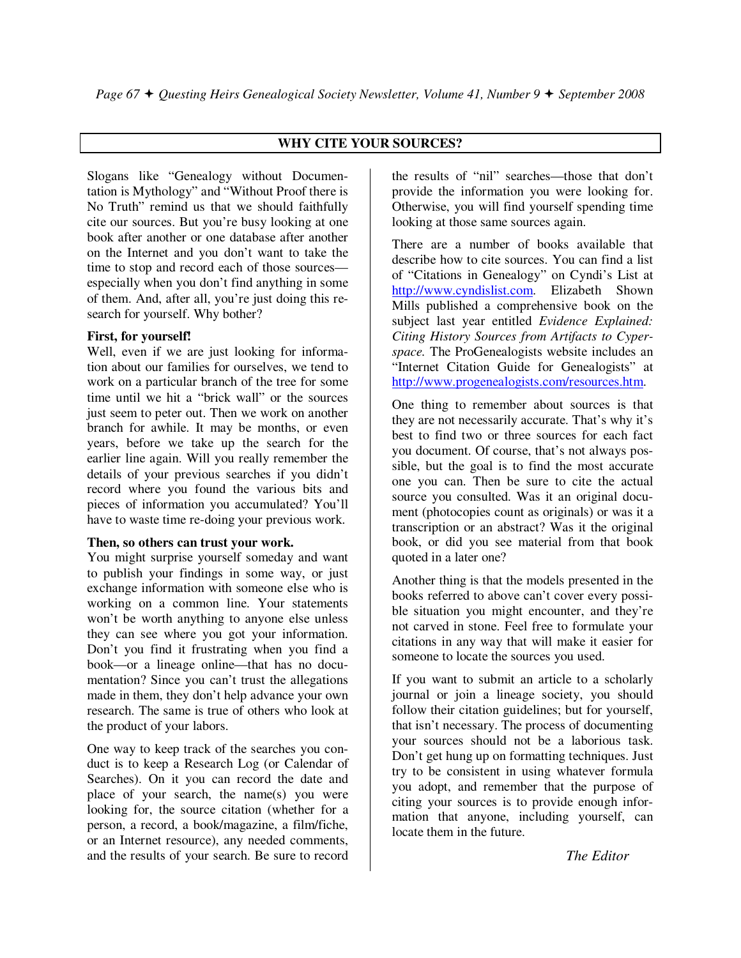## **WHY CITE YOUR SOURCES?**

Slogans like "Genealogy without Documentation is Mythology" and "Without Proof there is No Truth" remind us that we should faithfully cite our sources. But you're busy looking at one book after another or one database after another on the Internet and you don't want to take the time to stop and record each of those sources especially when you don't find anything in some of them. And, after all, you're just doing this research for yourself. Why bother?

#### **First, for yourself!**

Well, even if we are just looking for information about our families for ourselves, we tend to work on a particular branch of the tree for some time until we hit a "brick wall" or the sources just seem to peter out. Then we work on another branch for awhile. It may be months, or even years, before we take up the search for the earlier line again. Will you really remember the details of your previous searches if you didn't record where you found the various bits and pieces of information you accumulated? You'll have to waste time re-doing your previous work.

#### **Then, so others can trust your work.**

You might surprise yourself someday and want to publish your findings in some way, or just exchange information with someone else who is working on a common line. Your statements won't be worth anything to anyone else unless they can see where you got your information. Don't you find it frustrating when you find a book—or a lineage online—that has no documentation? Since you can't trust the allegations made in them, they don't help advance your own research. The same is true of others who look at the product of your labors.

One way to keep track of the searches you conduct is to keep a Research Log (or Calendar of Searches). On it you can record the date and place of your search, the name(s) you were looking for, the source citation (whether for a person, a record, a book/magazine, a film/fiche, or an Internet resource), any needed comments, and the results of your search. Be sure to record

the results of "nil" searches—those that don't provide the information you were looking for. Otherwise, you will find yourself spending time looking at those same sources again.

There are a number of books available that describe how to cite sources. You can find a list of "Citations in Genealogy" on Cyndi's List at http://www.cyndislist.com. Elizabeth Shown Mills published a comprehensive book on the subject last year entitled *Evidence Explained: Citing History Sources from Artifacts to Cyperspace.* The ProGenealogists website includes an "Internet Citation Guide for Genealogists" at http://www.progenealogists.com/resources.htm.

One thing to remember about sources is that they are not necessarily accurate. That's why it's best to find two or three sources for each fact you document. Of course, that's not always possible, but the goal is to find the most accurate one you can. Then be sure to cite the actual source you consulted. Was it an original document (photocopies count as originals) or was it a transcription or an abstract? Was it the original book, or did you see material from that book quoted in a later one?

Another thing is that the models presented in the books referred to above can't cover every possible situation you might encounter, and they're not carved in stone. Feel free to formulate your citations in any way that will make it easier for someone to locate the sources you used.

If you want to submit an article to a scholarly journal or join a lineage society, you should follow their citation guidelines; but for yourself, that isn't necessary. The process of documenting your sources should not be a laborious task. Don't get hung up on formatting techniques. Just try to be consistent in using whatever formula you adopt, and remember that the purpose of citing your sources is to provide enough information that anyone, including yourself, can locate them in the future.

*The Editor*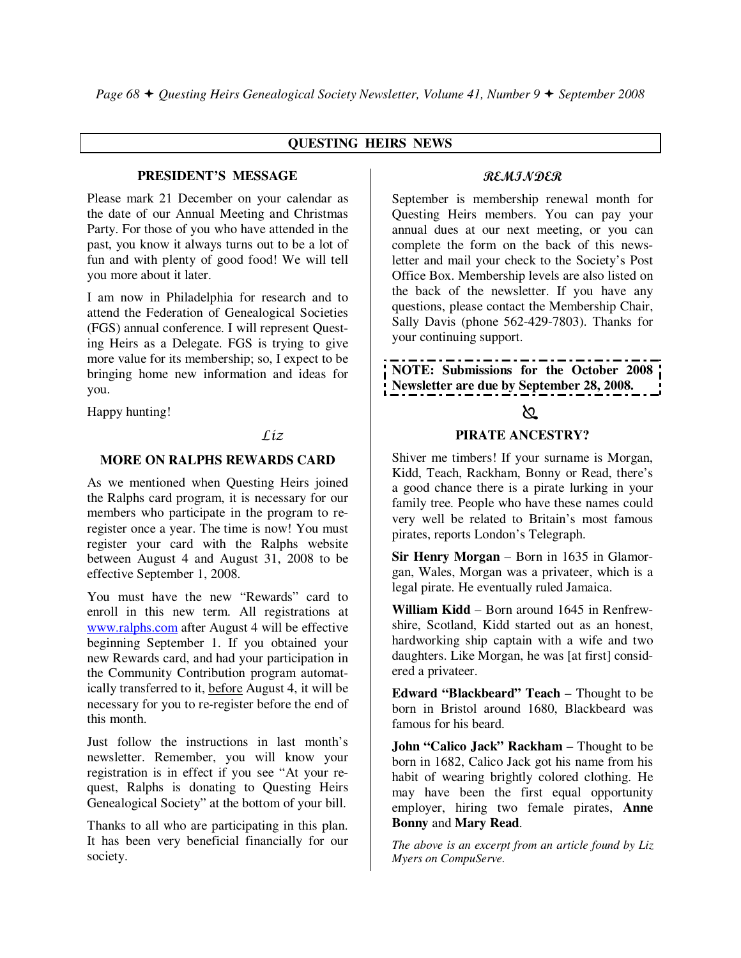#### **QUESTING HEIRS NEWS**

#### **PRESIDENT'S MESSAGE**

Please mark 21 December on your calendar as the date of our Annual Meeting and Christmas Party. For those of you who have attended in the past, you know it always turns out to be a lot of fun and with plenty of good food! We will tell you more about it later.

I am now in Philadelphia for research and to attend the Federation of Genealogical Societies (FGS) annual conference. I will represent Questing Heirs as a Delegate. FGS is trying to give more value for its membership; so, I expect to be bringing home new information and ideas for you.

Happy hunting!

## $LiZ$

#### **MORE ON RALPHS REWARDS CARD**

As we mentioned when Questing Heirs joined the Ralphs card program, it is necessary for our members who participate in the program to reregister once a year. The time is now! You must register your card with the Ralphs website between August 4 and August 31, 2008 to be effective September 1, 2008.

You must have the new "Rewards" card to enroll in this new term. All registrations at www.ralphs.com after August 4 will be effective beginning September 1. If you obtained your new Rewards card, and had your participation in the Community Contribution program automatically transferred to it, before August 4, it will be necessary for you to re-register before the end of this month.

Just follow the instructions in last month's newsletter. Remember, you will know your registration is in effect if you see "At your request, Ralphs is donating to Questing Heirs Genealogical Society" at the bottom of your bill.

Thanks to all who are participating in this plan. It has been very beneficial financially for our society.

### REMINDER

September is membership renewal month for Questing Heirs members. You can pay your annual dues at our next meeting, or you can complete the form on the back of this newsletter and mail your check to the Society's Post Office Box. Membership levels are also listed on the back of the newsletter. If you have any questions, please contact the Membership Chair, Sally Davis (phone 562-429-7803). Thanks for your continuing support.

**NOTE: Submissions for the October 2008 Newsletter are due by September 28, 2008.** 

## প্ৰ

#### **PIRATE ANCESTRY?**

Shiver me timbers! If your surname is Morgan, Kidd, Teach, Rackham, Bonny or Read, there's a good chance there is a pirate lurking in your family tree. People who have these names could very well be related to Britain's most famous pirates, reports London's Telegraph.

**Sir Henry Morgan** – Born in 1635 in Glamorgan, Wales, Morgan was a privateer, which is a legal pirate. He eventually ruled Jamaica.

**William Kidd** – Born around 1645 in Renfrewshire, Scotland, Kidd started out as an honest, hardworking ship captain with a wife and two daughters. Like Morgan, he was [at first] considered a privateer.

**Edward "Blackbeard" Teach** – Thought to be born in Bristol around 1680, Blackbeard was famous for his beard.

**John "Calico Jack" Rackham** – Thought to be born in 1682, Calico Jack got his name from his habit of wearing brightly colored clothing. He may have been the first equal opportunity employer, hiring two female pirates, **Anne Bonny** and **Mary Read**.

*The above is an excerpt from an article found by Liz Myers on CompuServe.*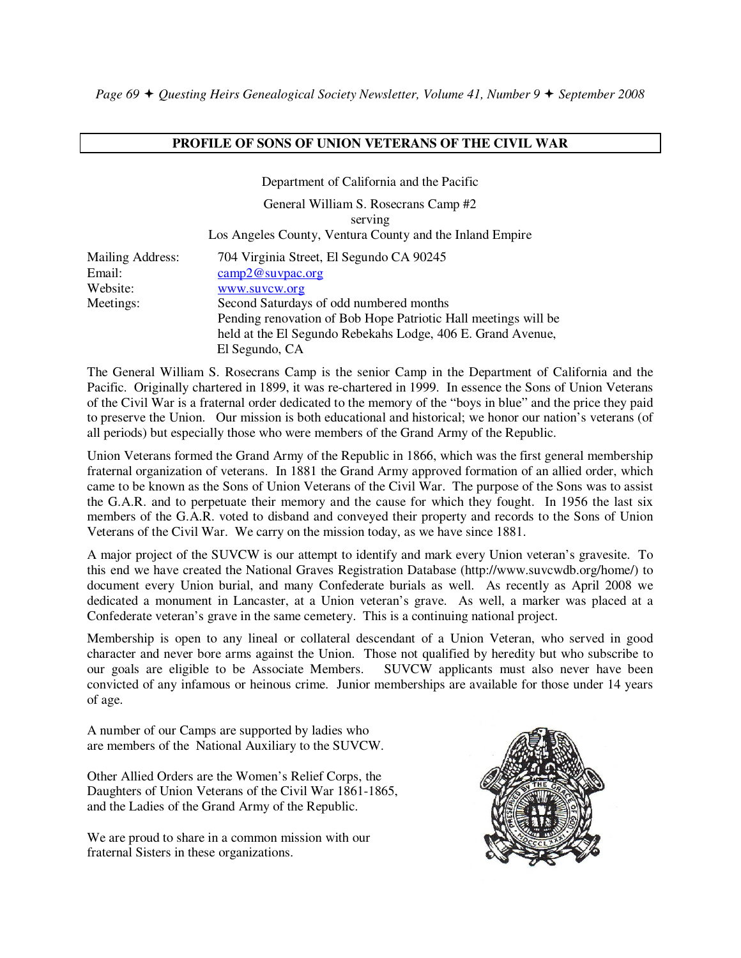#### **PROFILE OF SONS OF UNION VETERANS OF THE CIVIL WAR**

Department of California and the Pacific

General William S. Rosecrans Camp #2 serving Los Angeles County, Ventura County and the Inland Empire

| Mailing Address: | 704 Virginia Street, El Segundo CA 90245                       |
|------------------|----------------------------------------------------------------|
| Email:           | $\text{camp2@suppac.org}$                                      |
| Website:         | www.suvcw.org                                                  |
| Meetings:        | Second Saturdays of odd numbered months                        |
|                  | Pending renovation of Bob Hope Patriotic Hall meetings will be |
|                  | held at the El Segundo Rebekahs Lodge, 406 E. Grand Avenue,    |
|                  | El Segundo, CA                                                 |

The General William S. Rosecrans Camp is the senior Camp in the Department of California and the Pacific. Originally chartered in 1899, it was re-chartered in 1999. In essence the Sons of Union Veterans of the Civil War is a fraternal order dedicated to the memory of the "boys in blue" and the price they paid to preserve the Union. Our mission is both educational and historical; we honor our nation's veterans (of all periods) but especially those who were members of the Grand Army of the Republic.

Union Veterans formed the Grand Army of the Republic in 1866, which was the first general membership fraternal organization of veterans. In 1881 the Grand Army approved formation of an allied order, which came to be known as the Sons of Union Veterans of the Civil War. The purpose of the Sons was to assist the G.A.R. and to perpetuate their memory and the cause for which they fought. In 1956 the last six members of the G.A.R. voted to disband and conveyed their property and records to the Sons of Union Veterans of the Civil War. We carry on the mission today, as we have since 1881.

A major project of the SUVCW is our attempt to identify and mark every Union veteran's gravesite. To this end we have created the National Graves Registration Database (http://www.suvcwdb.org/home/) to document every Union burial, and many Confederate burials as well. As recently as April 2008 we dedicated a monument in Lancaster, at a Union veteran's grave. As well, a marker was placed at a Confederate veteran's grave in the same cemetery. This is a continuing national project.

Membership is open to any lineal or collateral descendant of a Union Veteran, who served in good character and never bore arms against the Union. Those not qualified by heredity but who subscribe to our goals are eligible to be Associate Members. SUVCW applicants must also never have been convicted of any infamous or heinous crime. Junior memberships are available for those under 14 years of age.

A number of our Camps are supported by ladies who are members of the National Auxiliary to the SUVCW.

Other Allied Orders are the Women's Relief Corps, the Daughters of Union Veterans of the Civil War 1861-1865, and the Ladies of the Grand Army of the Republic.

We are proud to share in a common mission with our fraternal Sisters in these organizations.

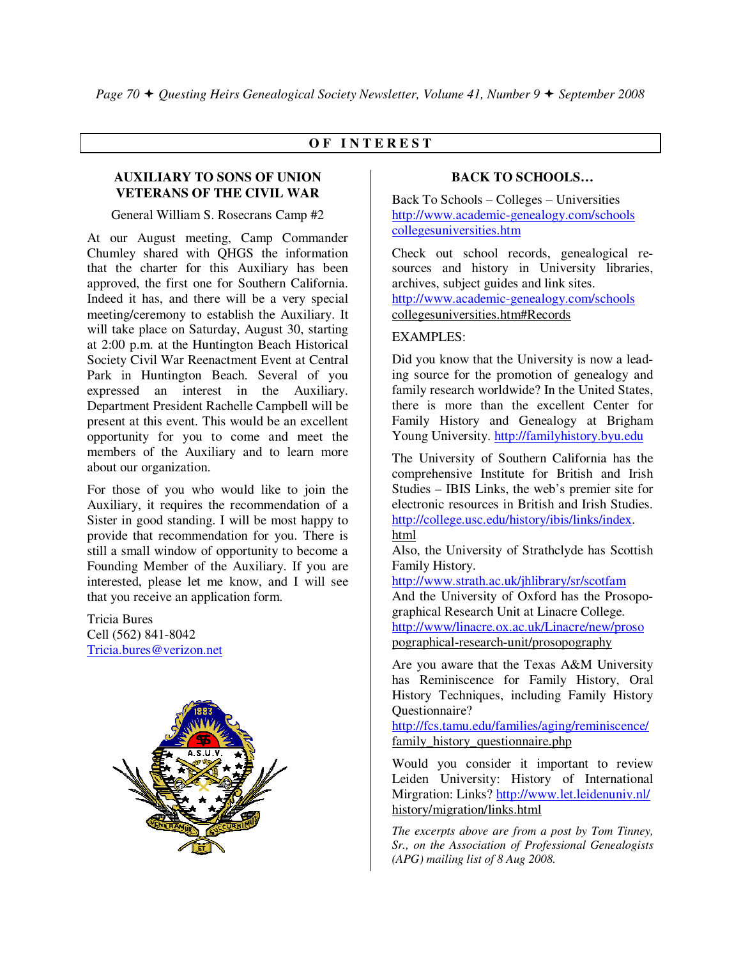#### **O F I N T E R E S T**

#### **AUXILIARY TO SONS OF UNION VETERANS OF THE CIVIL WAR**

#### General William S. Rosecrans Camp #2

At our August meeting, Camp Commander Chumley shared with QHGS the information that the charter for this Auxiliary has been approved, the first one for Southern California. Indeed it has, and there will be a very special meeting/ceremony to establish the Auxiliary. It will take place on Saturday, August 30, starting at 2:00 p.m. at the Huntington Beach Historical Society Civil War Reenactment Event at Central Park in Huntington Beach. Several of you expressed an interest in the Auxiliary. Department President Rachelle Campbell will be present at this event. This would be an excellent opportunity for you to come and meet the members of the Auxiliary and to learn more about our organization.

For those of you who would like to join the Auxiliary, it requires the recommendation of a Sister in good standing. I will be most happy to provide that recommendation for you. There is still a small window of opportunity to become a Founding Member of the Auxiliary. If you are interested, please let me know, and I will see that you receive an application form.

Tricia Bures Cell (562) 841-8042 Tricia.bures@verizon.net



#### **BACK TO SCHOOLS…**

Back To Schools – Colleges – Universities http://www.academic-genealogy.com/schools collegesuniversities.htm

Check out school records, genealogical resources and history in University libraries, archives, subject guides and link sites. http://www.academic-genealogy.com/schools collegesuniversities.htm#Records

#### EXAMPLES:

Did you know that the University is now a leading source for the promotion of genealogy and family research worldwide? In the United States, there is more than the excellent Center for Family History and Genealogy at Brigham Young University. http://familyhistory.byu.edu

The University of Southern California has the comprehensive Institute for British and Irish Studies – IBIS Links, the web's premier site for electronic resources in British and Irish Studies. http://college.usc.edu/history/ibis/links/index. html

Also, the University of Strathclyde has Scottish Family History.

http://www.strath.ac.uk/jhlibrary/sr/scotfam And the University of Oxford has the Prosopographical Research Unit at Linacre College. http://www/linacre.ox.ac.uk/Linacre/new/proso pographical-research-unit/prosopography

Are you aware that the Texas A&M University has Reminiscence for Family History, Oral History Techniques, including Family History Questionnaire?

http://fcs.tamu.edu/families/aging/reminiscence/ family history questionnaire.php

Would you consider it important to review Leiden University: History of International Mirgration: Links? http://www.let.leidenuniv.nl/ history/migration/links.html

*The excerpts above are from a post by Tom Tinney, Sr., on the Association of Professional Genealogists (APG) mailing list of 8 Aug 2008.*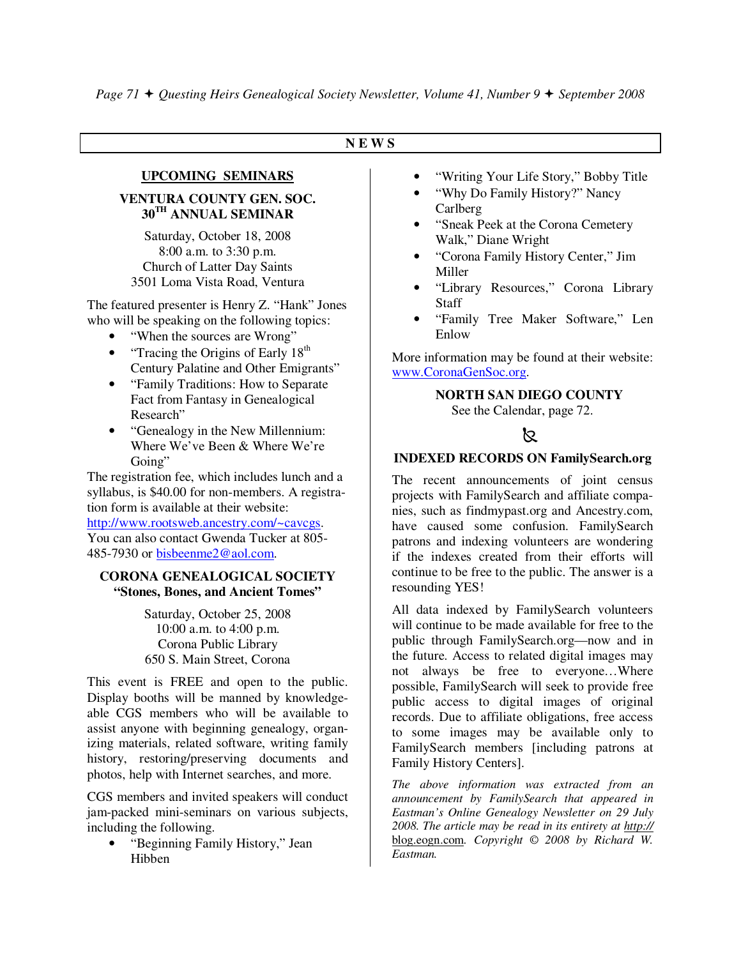## **N E W S**

## **UPCOMING SEMINARS VENTURA COUNTY GEN. SOC.**

**30TH ANNUAL SEMINAR** 

Saturday, October 18, 2008 8:00 a.m. to 3:30 p.m. Church of Latter Day Saints 3501 Loma Vista Road, Ventura

The featured presenter is Henry Z. "Hank" Jones who will be speaking on the following topics:

- "When the sources are Wrong"
- "Tracing the Origins of Early  $18<sup>th</sup>$ Century Palatine and Other Emigrants"
- "Family Traditions: How to Separate" Fact from Fantasy in Genealogical Research"
- "Genealogy in the New Millennium: Where We've Been & Where We're Going"

The registration fee, which includes lunch and a syllabus, is \$40.00 for non-members. A registration form is available at their website: http://www.rootsweb.ancestry.com/~cavcgs.

You can also contact Gwenda Tucker at 805- 485-7930 or bisbeenme2@aol.com.

#### **CORONA GENEALOGICAL SOCIETY "Stones, Bones, and Ancient Tomes"**

Saturday, October 25, 2008 10:00 a.m. to 4:00 p.m. Corona Public Library 650 S. Main Street, Corona

This event is FREE and open to the public. Display booths will be manned by knowledgeable CGS members who will be available to assist anyone with beginning genealogy, organizing materials, related software, writing family history, restoring/preserving documents and photos, help with Internet searches, and more.

CGS members and invited speakers will conduct jam-packed mini-seminars on various subjects, including the following.

• "Beginning Family History," Jean Hibben

- "Writing Your Life Story," Bobby Title
- "Why Do Family History?" Nancy Carlberg
- "Sneak Peek at the Corona Cemetery Walk," Diane Wright
- "Corona Family History Center," Jim Miller
- "Library Resources," Corona Library **Staff**
- "Family Tree Maker Software," Len Enlow

More information may be found at their website: www.CoronaGenSoc.org.

#### **NORTH SAN DIEGO COUNTY**

See the Calendar, page 72.

## $\mathbb{Z}$

#### **INDEXED RECORDS ON FamilySearch.org**

The recent announcements of joint census projects with FamilySearch and affiliate companies, such as findmypast.org and Ancestry.com, have caused some confusion. FamilySearch patrons and indexing volunteers are wondering if the indexes created from their efforts will continue to be free to the public. The answer is a resounding YES!

All data indexed by FamilySearch volunteers will continue to be made available for free to the public through FamilySearch.org—now and in the future. Access to related digital images may not always be free to everyone…Where possible, FamilySearch will seek to provide free public access to digital images of original records. Due to affiliate obligations, free access to some images may be available only to FamilySearch members [including patrons at Family History Centers].

*The above information was extracted from an announcement by FamilySearch that appeared in Eastman's Online Genealogy Newsletter on 29 July 2008. The article may be read in its entirety at http://* blog.eogn.com*. Copyright © 2008 by Richard W. Eastman.*